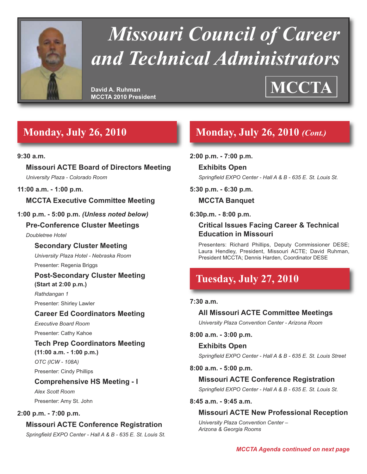

# *Missouri Council of Career and Technical Administrators*

**David A. Ruhman MCCTA 2010 President**

# **MCCTA**

## **Monday, July 26, 2010**

#### **9:30 a.m.**

**Missouri ACTE Board of Directors Meeting** *University Plaza - Colorado Room*

#### **11:00 a.m. - 1:00 p.m.**

#### **MCCTA Executive Committee Meeting**

#### **1:00 p.m. - 5:00 p.m.** *(Unless noted below)*

#### **Pre-Conference Cluster Meetings**

*Doubletree Hotel*

#### **Secondary Cluster Meeting**

*University Plaza Hotel - Nebraska Room* Presenter: Regenia Briggs

#### **Post-Secondary Cluster Meeting**

**(Start at 2:00 p.m.)** *Rathdangan 1* Presenter: Shirley Lawler

#### **Career Ed Coordinators Meeting**

*Executive Board Room* Presenter: Cathy Kahoe

#### **Tech Prep Coordinators Meeting (11:00 a.m. - 1:00 p.m.)** *OTC (ICW - 108A)*

Presenter: Cindy Phillips

#### **Comprehensive HS Meeting - I**

*Alex Scott Room* Presenter: Amy St. John

#### **2:00 p.m. - 7:00 p.m.**

#### **Missouri ACTE Conference Registration**

*Springfield EXPO Center - Hall A & B - 635 E. St. Louis St.*

## **Monday, July 26, 2010** *(Cont.)*

#### **2:00 p.m. - 7:00 p.m.**

**Exhibits Open** *Springfield EXPO Center - Hall A & B - 635 E. St. Louis St.*

#### **5:30 p.m. - 6:30 p.m.**

#### **MCCTA Banquet**

**6:30p.m. - 8:00 p.m.**

#### **Critical Issues Facing Career & Technical Education in Missouri**

Presenters: Richard Phillips, Deputy Commissioner DESE; Laura Hendley, President, Missouri ACTE; David Ruhman, President MCCTA; Dennis Harden, Coordinator DESE

## **Tuesday, July 27, 2010**

#### **7:30 a.m.**

**All Missouri ACTE Committee Meetings** *University Plaza Convention Center - Arizona Room*

#### **8:00 a.m. - 3:00 p.m.**

#### **Exhibits Open**

*Springfield EXPO Center - Hall A & B - 635 E. St. Louis Street*

#### **8:00 a.m. - 5:00 p.m.**

#### **Missouri ACTE Conference Registration**

*Springfield EXPO Center - Hall A & B - 635 E. St. Louis St.*

#### **8:45 a.m. - 9:45 a.m.**

#### **Missouri ACTE New Professional Reception**

*University Plaza Convention Center – Arizona & Georgia Rooms*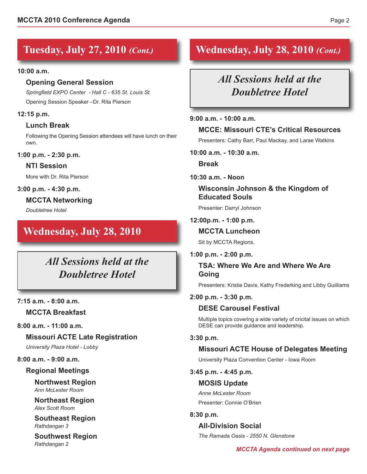## **Tuesday, July 27, 2010** *(Cont.)*

#### **10:00 a.m.**

#### **Opening General Session**

*Springfield EXPO Center - Hall C - 635 St. Louis St.* Opening Session Speaker –Dr. Rita Pierson

#### **12:15 p.m.**

#### **Lunch Break**

Following the Opening Session attendees will have lunch on their own.

**1:00 p.m. - 2:30 p.m.**

#### **NTI Session**

More with Dr. Rita Pierson

#### **3:00 p.m. - 4:30 p.m.**

**MCCTA Networking**

*Doubletree Hotel*

### **Wednesday, July 28, 2010**

*All Sessions held at the Doubletree Hotel*

#### **7:15 a.m. - 8:00 a.m.**

#### **MCCTA Breakfast**

**8:00 a.m. - 11:00 a.m.**

#### **Missouri ACTE Late Registration**

*University Plaza Hotel - Lobby*

#### **8:00 a.m. - 9:00 a.m.**

#### **Regional Meetings**

**Northwest Region** *Ann McLester Room*

**Northeast Region** *Alex Scott Room*

**Southeast Region** *Rathdangan 3*

**Southwest Region** *Rathdangan 2*

## **Wednesday, July 28, 2010** *(Cont.)*

## *All Sessions held at the Doubletree Hotel*

#### **9:00 a.m. - 10:00 a.m.**

#### **MCCE: Missouri CTE's Critical Resources**

Presenters: Cathy Barr, Paul Mackay, and Larae Watkins

**10:00 a.m. - 10:30 a.m.**

**Break**

#### **10:30 a.m. - Noon**

#### **Wisconsin Johnson & the Kingdom of Educated Souls**

Presenter: Darryl Johnson

#### **12:00p.m. - 1:00 p.m.**

#### **MCCTA Luncheon**

Sit by MCCTA Regions.

#### **1:00 p.m. - 2:00 p.m.**

**TSA: Where We Are and Where We Are Going**

Presenters: Kristie Davis, Kathy Frederking and Libby Guilliams

#### **2:00 p.m. - 3:30 p.m.**

#### **DESE Carousel Festival**

Multiple topics covering a wide variety of cricital issues on which DESE can provide guidance and leadership.

#### **3:30 p.m.**

#### **Missouri ACTE House of Delegates Meeting**

University Plaza Convention Center - Iowa Room

#### **3:45 p.m. - 4:45 p.m.**

#### **MOSIS Update**

*Anne McLester Room* Presenter: Connie O'Brien

#### **8:30 p.m.**

#### **All-Division Social**

*The Ramada Oasis - 2550 N. Glenstone*